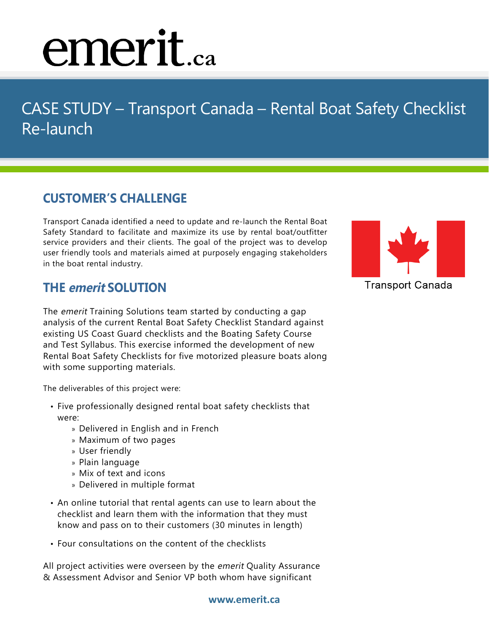# emerit.ca

## CASE STUDY – Transport Canada – Rental Boat Safety Checklist Re-launch

### **CUSTOMER'S CHALLENGE**

Transport Canada identified a need to update and re-launch the Rental Boat Safety Standard to facilitate and maximize its use by rental boat/outfitter service providers and their clients. The goal of the project was to develop user friendly tools and materials aimed at purposely engaging stakeholders in the boat rental industry.

#### **THE emerit SOLUTION**

The emerit Training Solutions team started by conducting a gap analysis of the current Rental Boat Safety Checklist Standard against existing US Coast Guard checklists and the Boating Safety Course and Test Syllabus. This exercise informed the development of new Rental Boat Safety Checklists for five motorized pleasure boats along with some supporting materials.

The deliverables of this project were:

- Five professionally designed rental boat safety checklists that were:
	- » Delivered in English and in French
	- » Maximum of two pages
	- » User friendly
	- » Plain language
	- » Mix of text and icons
	- » Delivered in multiple format
- An online tutorial that rental agents can use to learn about the checklist and learn them with the information that they must know and pass on to their customers (30 minutes in length)
- Four consultations on the content of the checklists

All project activities were overseen by the emerit Quality Assurance & Assessment Advisor and Senior VP both whom have significant



**Transport Canada**